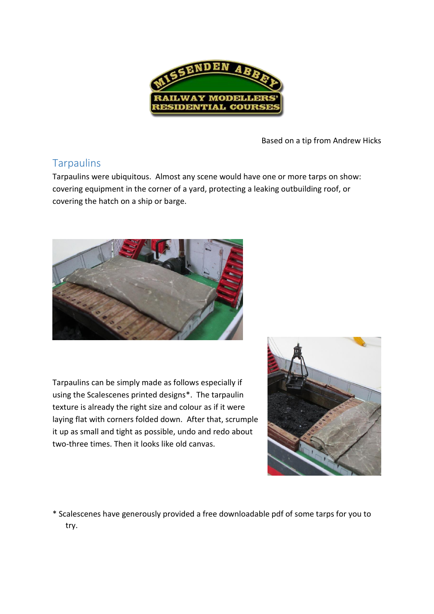

Based on a tip from Andrew Hicks

## **Tarpaulins**

Tarpaulins were ubiquitous. Almost any scene would have one or more tarps on show: covering equipment in the corner of a yard, protecting a leaking outbuilding roof, or covering the hatch on a ship or barge.



Tarpaulins can be simply made as follows especially if using the Scalescenes printed designs\*. The tarpaulin texture is already the right size and colour as if it were laying flat with corners folded down. After that, scrumple it up as small and tight as possible, undo and redo about two-three times. Then it looks like old canvas.



\* Scalescenes have generously provided a free downloadable pdf of some tarps for you to try.